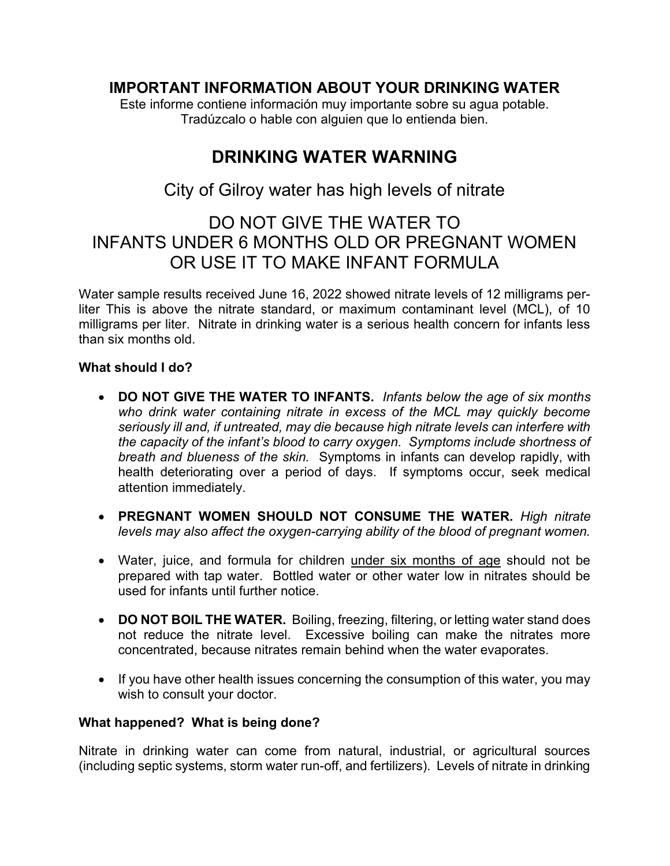### IMPORTANT INFORMATION ABOUT YOUR DRINKING WATER

Este informe contiene información muy importante sobre su agua potable. Tradúzcalo o hable con alguien que lo entienda bien.

# DRINKING WATER WARNING

### City of Gilroy water has high levels of nitrate

## DO NOT GIVE THE WATER TO INFANTS UNDER 6 MONTHS OLD OR PREGNANT WOMEN OR USE IT TO MAKE INFANT FORMULA

Water sample results received June 16, 2022 showed nitrate levels of 12 milligrams perliter This is above the nitrate standard, or maximum contaminant level (MCL), of 10 milligrams per liter. Nitrate in drinking water is a serious health concern for infants less than six months old.

#### What should I do?

- DO NOT GIVE THE WATER TO INFANTS. Infants below the age of six months who drink water containing nitrate in excess of the MCL may quickly become seriously ill and, if untreated, may die because high nitrate levels can interfere with the capacity of the infant's blood to carry oxygen. Symptoms include shortness of breath and blueness of the skin. Symptoms in infants can develop rapidly, with health deteriorating over a period of days. If symptoms occur, seek medical attention immediately.
- PREGNANT WOMEN SHOULD NOT CONSUME THE WATER. High nitrate levels may also affect the oxygen-carrying ability of the blood of pregnant women.
- Water, juice, and formula for children under six months of age should not be prepared with tap water. Bottled water or other water low in nitrates should be used for infants until further notice.
- DO NOT BOIL THE WATER. Boiling, freezing, filtering, or letting water stand does not reduce the nitrate level. Excessive boiling can make the nitrates more concentrated, because nitrates remain behind when the water evaporates.
- If you have other health issues concerning the consumption of this water, you may wish to consult your doctor.

#### What happened? What is being done?

Nitrate in drinking water can come from natural, industrial, or agricultural sources (including septic systems, storm water run-off, and fertilizers). Levels of nitrate in drinking